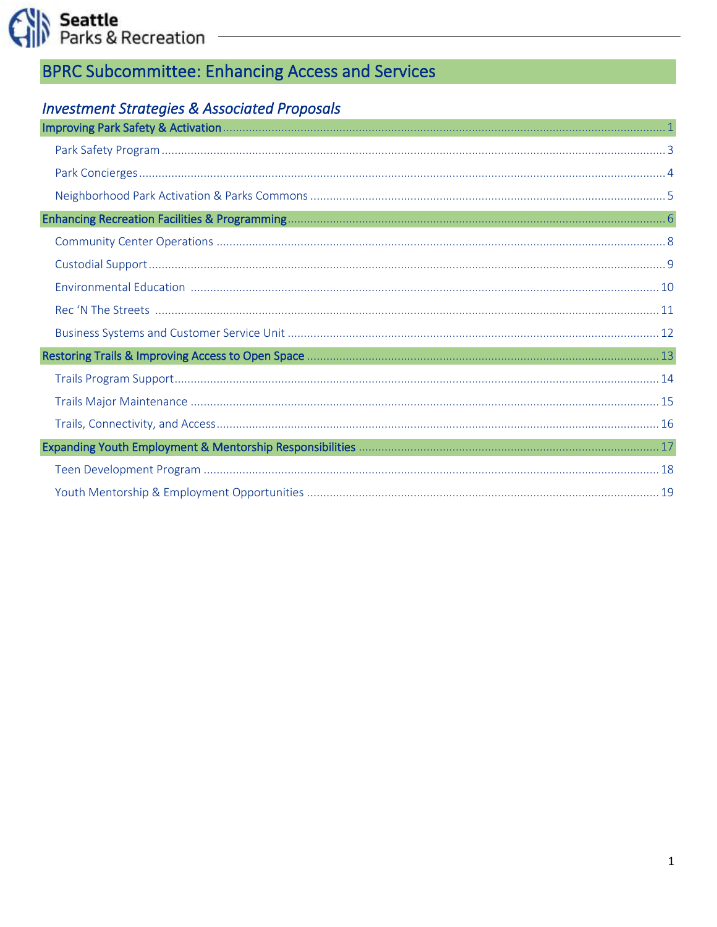# **BPRC Subcommittee: Enhancing Access and Services**

## **Investment Strategies & Associated Proposals**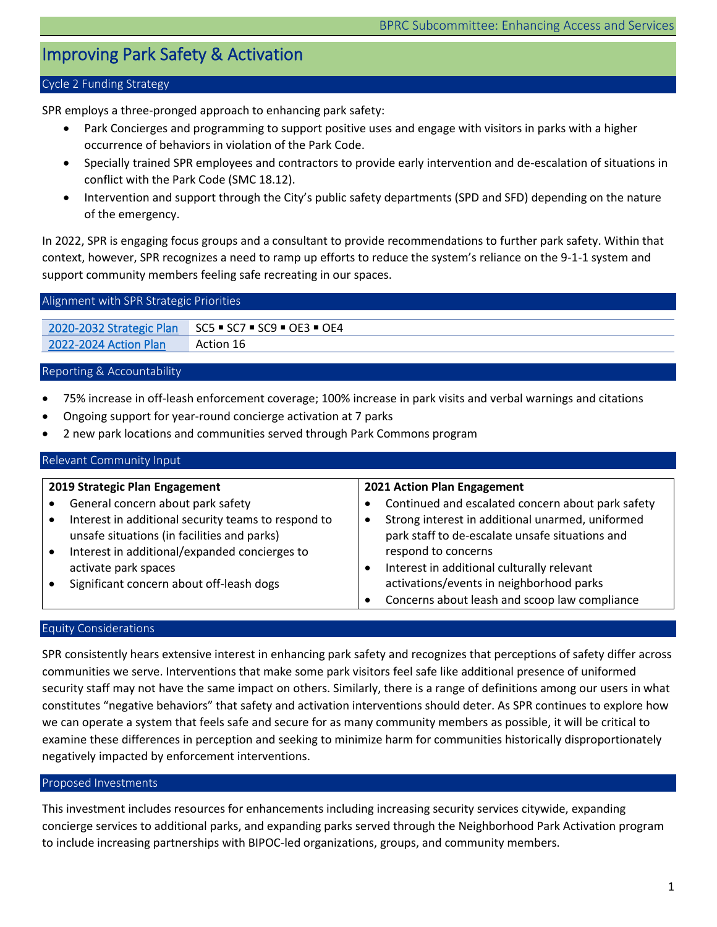## <span id="page-1-0"></span>Improving Park Safety & Activation

#### Cycle 2 Funding Strategy

SPR employs a three-pronged approach to enhancing park safety:

- Park Concierges and programming to support positive uses and engage with visitors in parks with a higher occurrence of behaviors in violation of the Park Code.
- Specially trained SPR employees and contractors to provide early intervention and de-escalation of situations in conflict with the Park Code (SMC 18.12).
- Intervention and support through the City's public safety departments (SPD and SFD) depending on the nature of the emergency.

In 2022, SPR is engaging focus groups and a consultant to provide recommendations to further park safety. Within that context, however, SPR recognizes a need to ramp up efforts to reduce the system's reliance on the 9-1-1 system and support community members feeling safe recreating in our spaces.

| Alignment with SPR Strategic Priorities |                                                      |  |
|-----------------------------------------|------------------------------------------------------|--|
|                                         |                                                      |  |
|                                         | 2020-2032 Strategic Plan SC5 = SC7 = SC9 = OE3 = OE4 |  |

[2022-2024 Action Plan](https://www.seattle.gov/Documents/Departments/ParksAndRecreation/BRPC/2022-2024%20Action%20Plan_031022.pdf) Action 16

#### Reporting & Accountability

- 75% increase in off-leash enforcement coverage; 100% increase in park visits and verbal warnings and citations
- Ongoing support for year-round concierge activation at 7 parks
- 2 new park locations and communities served through Park Commons program

### Relevant Community Input

| 2019 Strategic Plan Engagement                      |   | 2021 Action Plan Engagement                       |
|-----------------------------------------------------|---|---------------------------------------------------|
| General concern about park safety                   |   | Continued and escalated concern about park safety |
| Interest in additional security teams to respond to | ٠ | Strong interest in additional unarmed, uniformed  |
| unsafe situations (in facilities and parks)         |   | park staff to de-escalate unsafe situations and   |
| Interest in additional/expanded concierges to       |   | respond to concerns                               |
| activate park spaces                                |   | Interest in additional culturally relevant        |
| Significant concern about off-leash dogs            |   | activations/events in neighborhood parks          |
|                                                     |   | Concerns about leash and scoop law compliance     |

## Equity Considerations

SPR consistently hears extensive interest in enhancing park safety and recognizes that perceptions of safety differ across communities we serve. Interventions that make some park visitors feel safe like additional presence of uniformed security staff may not have the same impact on others. Similarly, there is a range of definitions among our users in what constitutes "negative behaviors" that safety and activation interventions should deter. As SPR continues to explore how we can operate a system that feels safe and secure for as many community members as possible, it will be critical to examine these differences in perception and seeking to minimize harm for communities historically disproportionately negatively impacted by enforcement interventions.

#### Proposed Investments

This investment includes resources for enhancements including increasing security services citywide, expanding concierge services to additional parks, and expanding parks served through the Neighborhood Park Activation program to include increasing partnerships with BIPOC-led organizations, groups, and community members.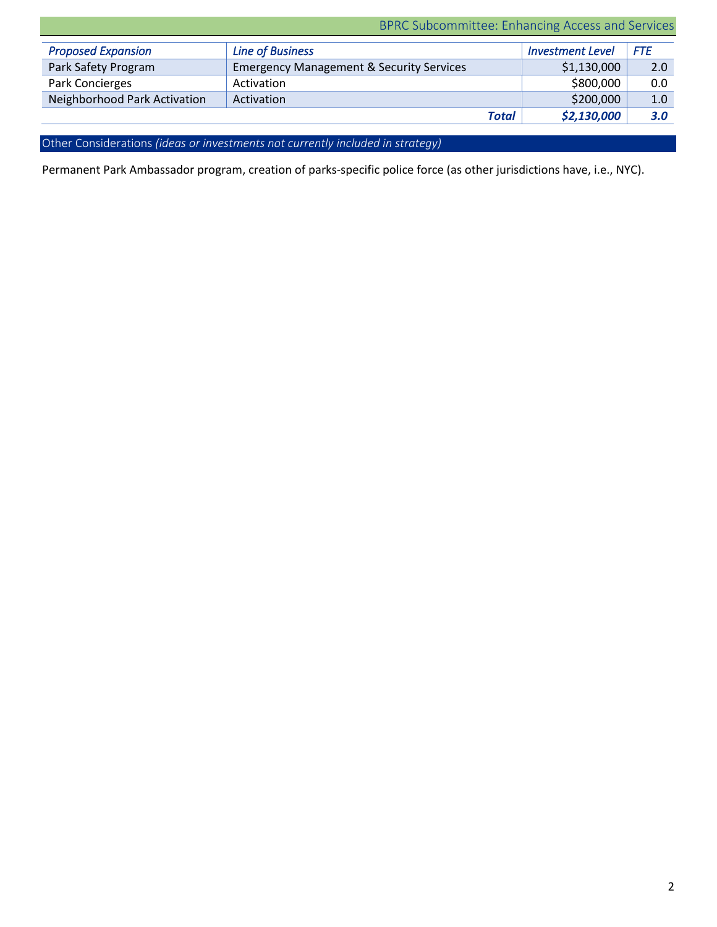| BPRC Subcommittee: Enhancing Access and Services |                                                     |                         |            |
|--------------------------------------------------|-----------------------------------------------------|-------------------------|------------|
| <b>Proposed Expansion</b>                        | <b>Line of Business</b>                             | <b>Investment Level</b> | <b>FTE</b> |
| Park Safety Program                              | <b>Emergency Management &amp; Security Services</b> | \$1,130,000             | 2.0        |
| Park Concierges                                  | Activation                                          | \$800,000               | 0.0        |
| Neighborhood Park Activation                     | Activation                                          | \$200,000               | 1.0        |
|                                                  | <b>Total</b>                                        | \$2,130,000             | 3.0        |

Other Considerations *(ideas or investments not currently included in strategy)*

Permanent Park Ambassador program, creation of parks-specific police force (as other jurisdictions have, i.e., NYC).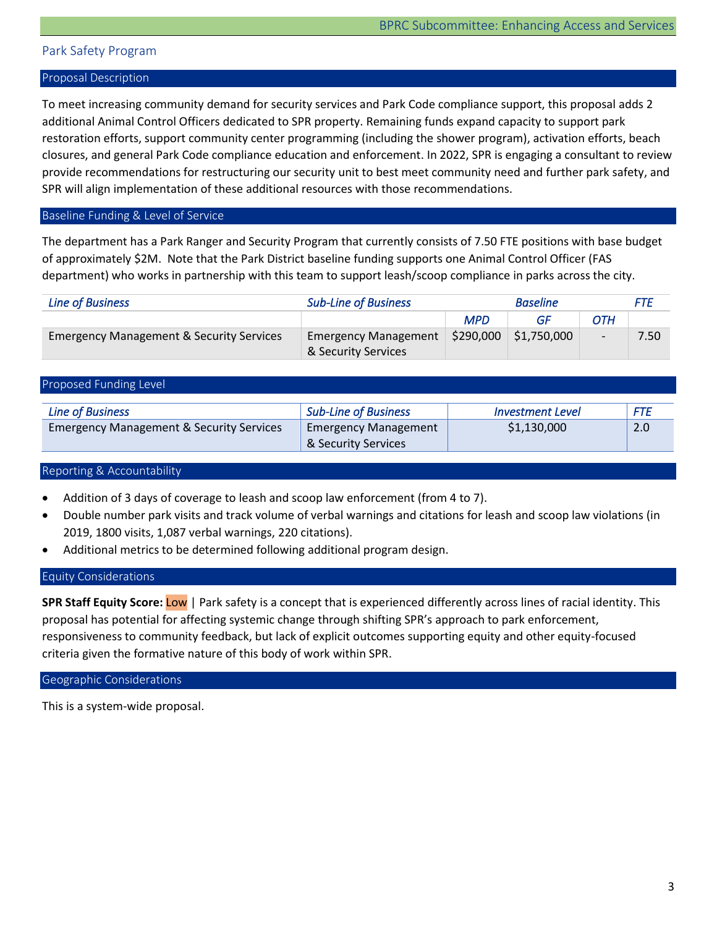## <span id="page-3-0"></span>Park Safety Program

#### Proposal Description

To meet increasing community demand for security services and Park Code compliance support, this proposal adds 2 additional Animal Control Officers dedicated to SPR property. Remaining funds expand capacity to support park restoration efforts, support community center programming (including the shower program), activation efforts, beach closures, and general Park Code compliance education and enforcement. In 2022, SPR is engaging a consultant to review provide recommendations for restructuring our security unit to best meet community need and further park safety, and SPR will align implementation of these additional resources with those recommendations.

## Baseline Funding & Level of Service

The department has a Park Ranger and Security Program that currently consists of 7.50 FTE positions with base budget of approximately \$2M. Note that the Park District baseline funding supports one Animal Control Officer (FAS department) who works in partnership with this team to support leash/scoop compliance in parks across the city.

| <b>Line of Business</b>                             | <b>Sub-Line of Business</b> |            | <b>Baseline</b>           |     | FTE  |
|-----------------------------------------------------|-----------------------------|------------|---------------------------|-----|------|
|                                                     |                             | <b>MPD</b> | GF                        | OTH |      |
| <b>Emergency Management &amp; Security Services</b> | <b>Emergency Management</b> | \$290,000  | $\frac{1}{2}$ \$1,750,000 |     | 7.50 |
|                                                     | & Security Services         |            |                           |     |      |

| Proposed Funding Level                              |                             |                         |            |
|-----------------------------------------------------|-----------------------------|-------------------------|------------|
|                                                     |                             |                         |            |
| <b>Line of Business</b>                             | <b>Sub-Line of Business</b> | <b>Investment Level</b> | <b>FTE</b> |
| <b>Emergency Management &amp; Security Services</b> | <b>Emergency Management</b> | \$1,130,000             | 2.0        |
|                                                     | & Security Services         |                         |            |

#### Reporting & Accountability

- Addition of 3 days of coverage to leash and scoop law enforcement (from 4 to 7).
- Double number park visits and track volume of verbal warnings and citations for leash and scoop law violations (in 2019, 1800 visits, 1,087 verbal warnings, 220 citations).
- Additional metrics to be determined following additional program design.

### Equity Considerations

**SPR Staff Equity Score:** Low | Park safety is a concept that is experienced differently across lines of racial identity. This proposal has potential for affecting systemic change through shifting SPR's approach to park enforcement, responsiveness to community feedback, but lack of explicit outcomes supporting equity and other equity-focused criteria given the formative nature of this body of work within SPR.

#### Geographic Considerations

This is a system-wide proposal.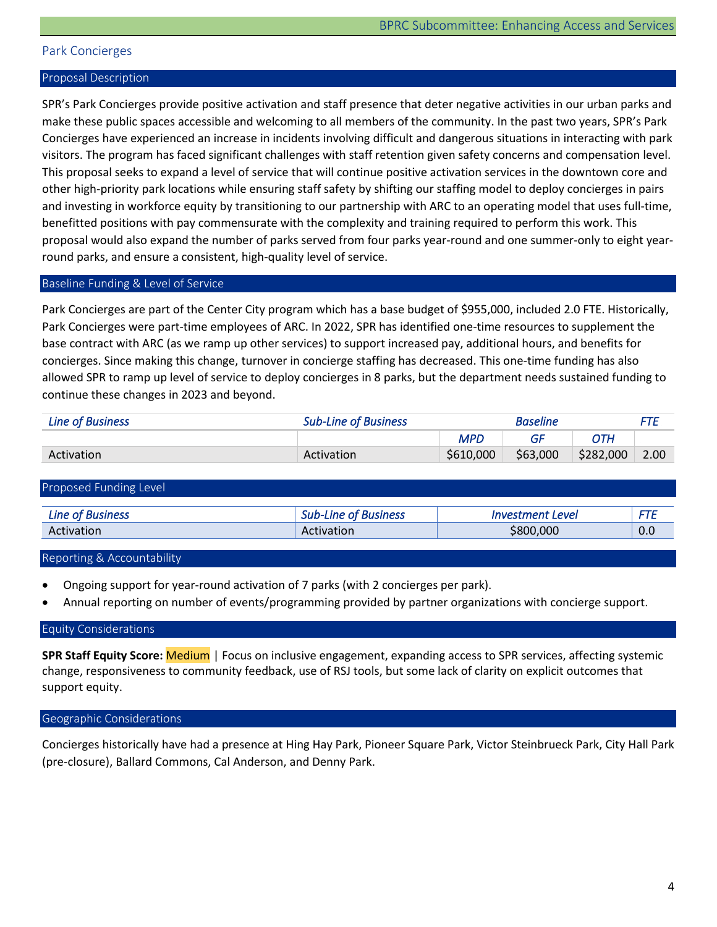### <span id="page-4-0"></span>Park Concierges

#### Proposal Description

SPR's Park Concierges provide positive activation and staff presence that deter negative activities in our urban parks and make these public spaces accessible and welcoming to all members of the community. In the past two years, SPR's Park Concierges have experienced an increase in incidents involving difficult and dangerous situations in interacting with park visitors. The program has faced significant challenges with staff retention given safety concerns and compensation level. This proposal seeks to expand a level of service that will continue positive activation services in the downtown core and other high-priority park locations while ensuring staff safety by shifting our staffing model to deploy concierges in pairs and investing in workforce equity by transitioning to our partnership with ARC to an operating model that uses full-time, benefitted positions with pay commensurate with the complexity and training required to perform this work. This proposal would also expand the number of parks served from four parks year-round and one summer-only to eight yearround parks, and ensure a consistent, high-quality level of service.

## Baseline Funding & Level of Service

Park Concierges are part of the Center City program which has a base budget of \$955,000, included 2.0 FTE. Historically, Park Concierges were part-time employees of ARC. In 2022, SPR has identified one-time resources to supplement the base contract with ARC (as we ramp up other services) to support increased pay, additional hours, and benefits for concierges. Since making this change, turnover in concierge staffing has decreased. This one-time funding has also allowed SPR to ramp up level of service to deploy concierges in 8 parks, but the department needs sustained funding to continue these changes in 2023 and beyond.

| Line of Business | <b>Sub-Line of Business</b> |           | <b>Baseline</b> |           | FTI  |
|------------------|-----------------------------|-----------|-----------------|-----------|------|
|                  |                             | MPD       |                 |           |      |
| Activation       | Activation                  | \$610,000 | \$63,000        | \$282,000 | 2.00 |

| Proposed Funding Level  |                      |                         |     |
|-------------------------|----------------------|-------------------------|-----|
| <b>Line of Business</b> | Sub-Line of Business | <b>Investment Level</b> |     |
| Activation              | Activation           | \$800,000               | 0.0 |
|                         |                      |                         |     |

Reporting & Accountability

- Ongoing support for year-round activation of 7 parks (with 2 concierges per park).
- Annual reporting on number of events/programming provided by partner organizations with concierge support.

#### Equity Considerations

**SPR Staff Equity Score:** Medium | Focus on inclusive engagement, expanding access to SPR services, affecting systemic change, responsiveness to community feedback, use of RSJ tools, but some lack of clarity on explicit outcomes that support equity.

#### Geographic Considerations

Concierges historically have had a presence at Hing Hay Park, Pioneer Square Park, Victor Steinbrueck Park, City Hall Park (pre-closure), Ballard Commons, Cal Anderson, and Denny Park.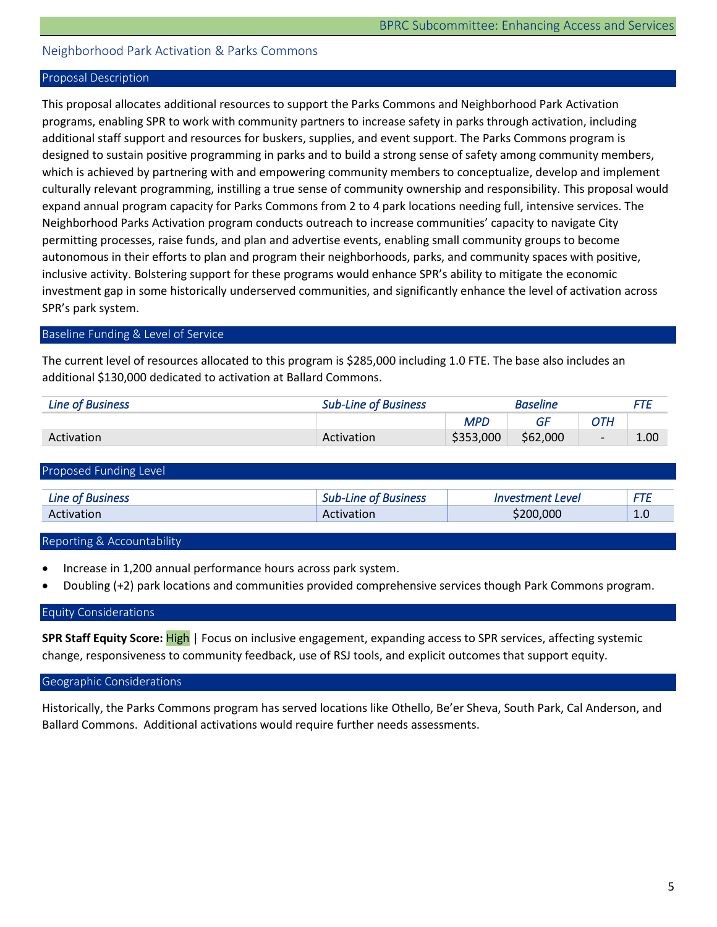## <span id="page-5-0"></span>Neighborhood Park Activation & Parks Commons

#### Proposal Description

This proposal allocates additional resources to support the Parks Commons and Neighborhood Park Activation programs, enabling SPR to work with community partners to increase safety in parks through activation, including additional staff support and resources for buskers, supplies, and event support. The Parks Commons program is designed to sustain positive programming in parks and to build a strong sense of safety among community members, which is achieved by partnering with and empowering community members to conceptualize, develop and implement culturally relevant programming, instilling a true sense of community ownership and responsibility. This proposal would expand annual program capacity for Parks Commons from 2 to 4 park locations needing full, intensive services. The Neighborhood Parks Activation program conducts outreach to increase communities' capacity to navigate City permitting processes, raise funds, and plan and advertise events, enabling small community groups to become autonomous in their efforts to plan and program their neighborhoods, parks, and community spaces with positive, inclusive activity. Bolstering support for these programs would enhance SPR's ability to mitigate the economic investment gap in some historically underserved communities, and significantly enhance the level of activation across SPR's park system.

## Baseline Funding & Level of Service

The current level of resources allocated to this program is \$285,000 including 1.0 FTE. The base also includes an additional \$130,000 dedicated to activation at Ballard Commons.

| Line of Business | <b>Sub-Line of Business</b> |           | Baseline |                          | FTF  |
|------------------|-----------------------------|-----------|----------|--------------------------|------|
|                  |                             | MPD       | GF       | ЭTН                      |      |
| Activation       | Activation                  | \$353,000 | \$62,000 | $\overline{\phantom{0}}$ | 1.00 |

| Proposed Funding Level  |                             |                                |     |
|-------------------------|-----------------------------|--------------------------------|-----|
| <b>Line of Business</b> | <b>Sub-Line of Business</b> | <i><b>Investment Level</b></i> | FTE |
| Activation              | Activation                  | \$200,000                      | 1.0 |

Reporting & Accountability

- Increase in 1,200 annual performance hours across park system.
- Doubling (+2) park locations and communities provided comprehensive services though Park Commons program.

## Equity Considerations

**SPR Staff Equity Score:** High | Focus on inclusive engagement, expanding access to SPR services, affecting systemic change, responsiveness to community feedback, use of RSJ tools, and explicit outcomes that support equity.

#### Geographic Considerations

Historically, the Parks Commons program has served locations like Othello, Be'er Sheva, South Park, Cal Anderson, and Ballard Commons. Additional activations would require further needs assessments.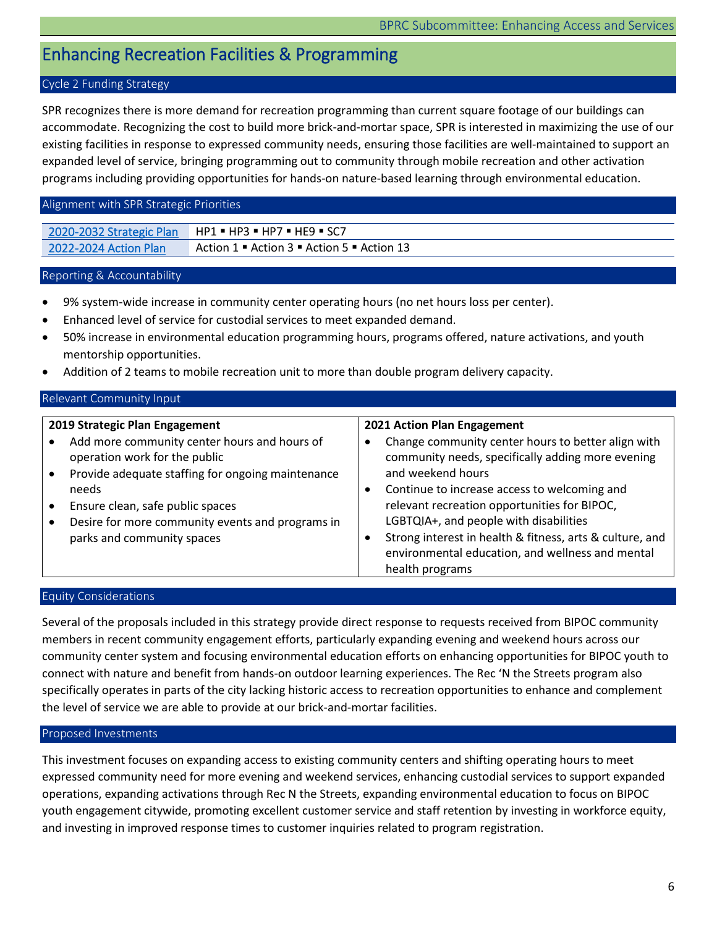## <span id="page-6-0"></span>Enhancing Recreation Facilities & Programming

## Cycle 2 Funding Strategy

SPR recognizes there is more demand for recreation programming than current square footage of our buildings can accommodate. Recognizing the cost to build more brick-and-mortar space, SPR is interested in maximizing the use of our existing facilities in response to expressed community needs, ensuring those facilities are well-maintained to support an expanded level of service, bringing programming out to community through mobile recreation and other activation programs including providing opportunities for hands-on nature-based learning through environmental education.

## Alignment with SPR Strategic Priorities

| 2020-2032 Strategic Plan     | $HP1 = HP3 = HP7 = HE9 = SC7$              |
|------------------------------|--------------------------------------------|
| <b>2022-2024 Action Plan</b> | Action 1 • Action 3 • Action 5 • Action 13 |

## Reporting & Accountability

- 9% system-wide increase in community center operating hours (no net hours loss per center).
- Enhanced level of service for custodial services to meet expanded demand.
- 50% increase in environmental education programming hours, programs offered, nature activations, and youth mentorship opportunities.
- Addition of 2 teams to mobile recreation unit to more than double program delivery capacity.

## Relevant Community Input

| 2019 Strategic Plan Engagement                                                                                                                                                                                                                                    | 2021 Action Plan Engagement                                                                                                                                                                                                                                                                                                                                                                               |
|-------------------------------------------------------------------------------------------------------------------------------------------------------------------------------------------------------------------------------------------------------------------|-----------------------------------------------------------------------------------------------------------------------------------------------------------------------------------------------------------------------------------------------------------------------------------------------------------------------------------------------------------------------------------------------------------|
| Add more community center hours and hours of<br>operation work for the public<br>Provide adequate staffing for ongoing maintenance<br>needs<br>Ensure clean, safe public spaces<br>Desire for more community events and programs in<br>parks and community spaces | Change community center hours to better align with<br>community needs, specifically adding more evening<br>and weekend hours<br>Continue to increase access to welcoming and<br>relevant recreation opportunities for BIPOC,<br>LGBTQIA+, and people with disabilities<br>Strong interest in health & fitness, arts & culture, and<br>environmental education, and wellness and mental<br>health programs |

## Equity Considerations

Several of the proposals included in this strategy provide direct response to requests received from BIPOC community members in recent community engagement efforts, particularly expanding evening and weekend hours across our community center system and focusing environmental education efforts on enhancing opportunities for BIPOC youth to connect with nature and benefit from hands-on outdoor learning experiences. The Rec 'N the Streets program also specifically operates in parts of the city lacking historic access to recreation opportunities to enhance and complement the level of service we are able to provide at our brick-and-mortar facilities.

## Proposed Investments

This investment focuses on expanding access to existing community centers and shifting operating hours to meet expressed community need for more evening and weekend services, enhancing custodial services to support expanded operations, expanding activations through Rec N the Streets, expanding environmental education to focus on BIPOC youth engagement citywide, promoting excellent customer service and staff retention by investing in workforce equity, and investing in improved response times to customer inquiries related to program registration.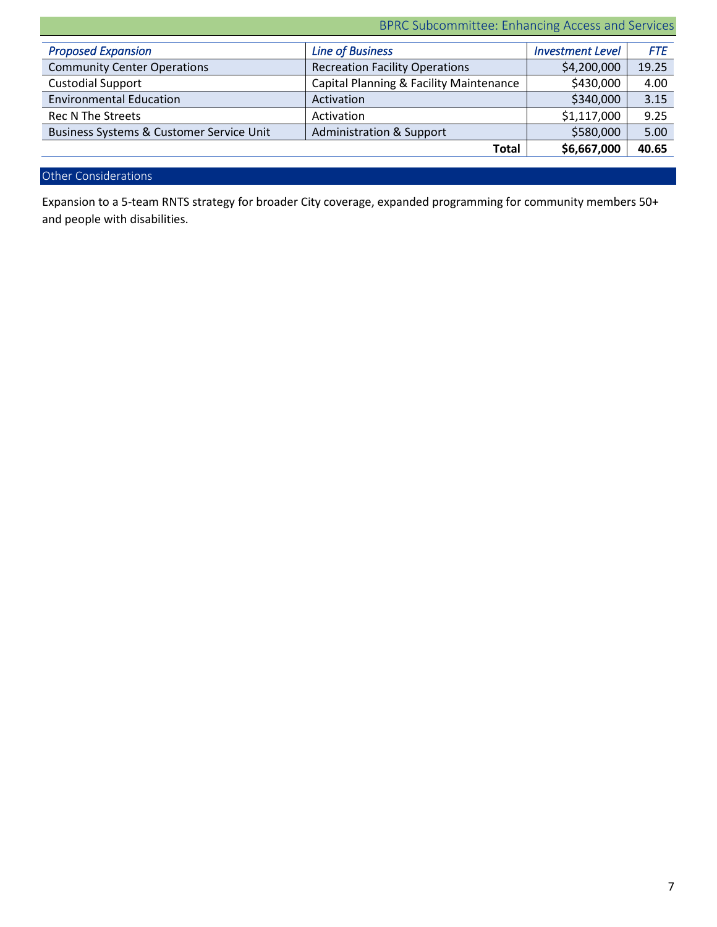BPRC Subcommittee: Enhancing Access and Services

| <b>Proposed Expansion</b>                | <b>Line of Business</b>                 | <b>Investment Level</b> | <b>FTE</b> |
|------------------------------------------|-----------------------------------------|-------------------------|------------|
| <b>Community Center Operations</b>       | <b>Recreation Facility Operations</b>   | \$4,200,000             | 19.25      |
| <b>Custodial Support</b>                 | Capital Planning & Facility Maintenance | \$430,000               | 4.00       |
| <b>Environmental Education</b>           | Activation                              | \$340,000               | 3.15       |
| <b>Rec N The Streets</b>                 | Activation                              | \$1,117,000             | 9.25       |
| Business Systems & Customer Service Unit | Administration & Support                | \$580,000               | 5.00       |
|                                          | <b>Total</b>                            | \$6,667,000             | 40.65      |

## Other Considerations

Expansion to a 5-team RNTS strategy for broader City coverage, expanded programming for community members 50+ and people with disabilities.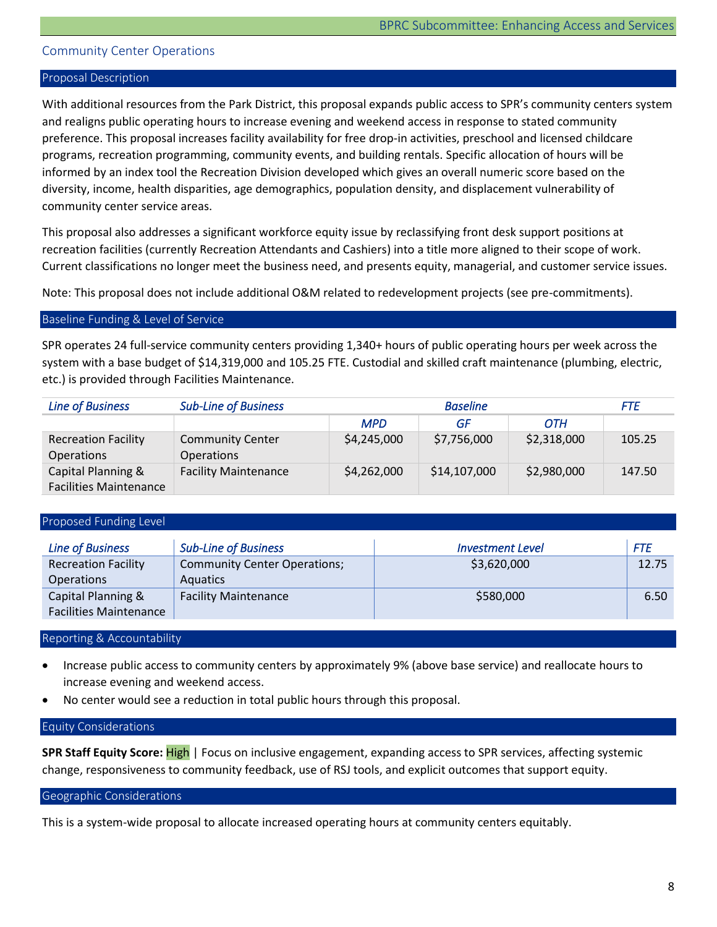## <span id="page-8-0"></span>Community Center Operations

#### Proposal Description

With additional resources from the Park District, this proposal expands public access to SPR's community centers system and realigns public operating hours to increase evening and weekend access in response to stated community preference. This proposal increases facility availability for free drop-in activities, preschool and licensed childcare programs, recreation programming, community events, and building rentals. Specific allocation of hours will be informed by an index tool the Recreation Division developed which gives an overall numeric score based on the diversity, income, health disparities, age demographics, population density, and displacement vulnerability of community center service areas.

This proposal also addresses a significant workforce equity issue by reclassifying front desk support positions at recreation facilities (currently Recreation Attendants and Cashiers) into a title more aligned to their scope of work. Current classifications no longer meet the business need, and presents equity, managerial, and customer service issues.

Note: This proposal does not include additional O&M related to redevelopment projects (see pre-commitments).

#### Baseline Funding & Level of Service

SPR operates 24 full-service community centers providing 1,340+ hours of public operating hours per week across the system with a base budget of \$14,319,000 and 105.25 FTE. Custodial and skilled craft maintenance (plumbing, electric, etc.) is provided through Facilities Maintenance.

| <b>Line of Business</b>                             | <b>Sub-Line of Business</b>                  |             | <b>Baseline</b> |             | <i>FTE</i> |
|-----------------------------------------------------|----------------------------------------------|-------------|-----------------|-------------|------------|
|                                                     |                                              | <b>MPD</b>  | GF              | OTH         |            |
| <b>Recreation Facility</b><br><b>Operations</b>     | <b>Community Center</b><br><b>Operations</b> | \$4,245,000 | \$7,756,000     | \$2,318,000 | 105.25     |
| Capital Planning &<br><b>Facilities Maintenance</b> | <b>Facility Maintenance</b>                  | \$4,262,000 | \$14,107,000    | \$2,980,000 | 147.50     |

### Proposed Funding Level

| <b>Line of Business</b>                             | <b>Sub-Line of Business</b>                            | <b>Investment Level</b> | FTE   |
|-----------------------------------------------------|--------------------------------------------------------|-------------------------|-------|
| <b>Recreation Facility</b><br><b>Operations</b>     | <b>Community Center Operations;</b><br><b>Aquatics</b> | \$3,620,000             | 12.75 |
| Capital Planning &<br><b>Facilities Maintenance</b> | <b>Facility Maintenance</b>                            | \$580,000               | 6.50  |

#### Reporting & Accountability

- Increase public access to community centers by approximately 9% (above base service) and reallocate hours to increase evening and weekend access.
- No center would see a reduction in total public hours through this proposal.

#### Equity Considerations

**SPR Staff Equity Score:** High | Focus on inclusive engagement, expanding access to SPR services, affecting systemic change, responsiveness to community feedback, use of RSJ tools, and explicit outcomes that support equity.

Geographic Considerations

This is a system-wide proposal to allocate increased operating hours at community centers equitably.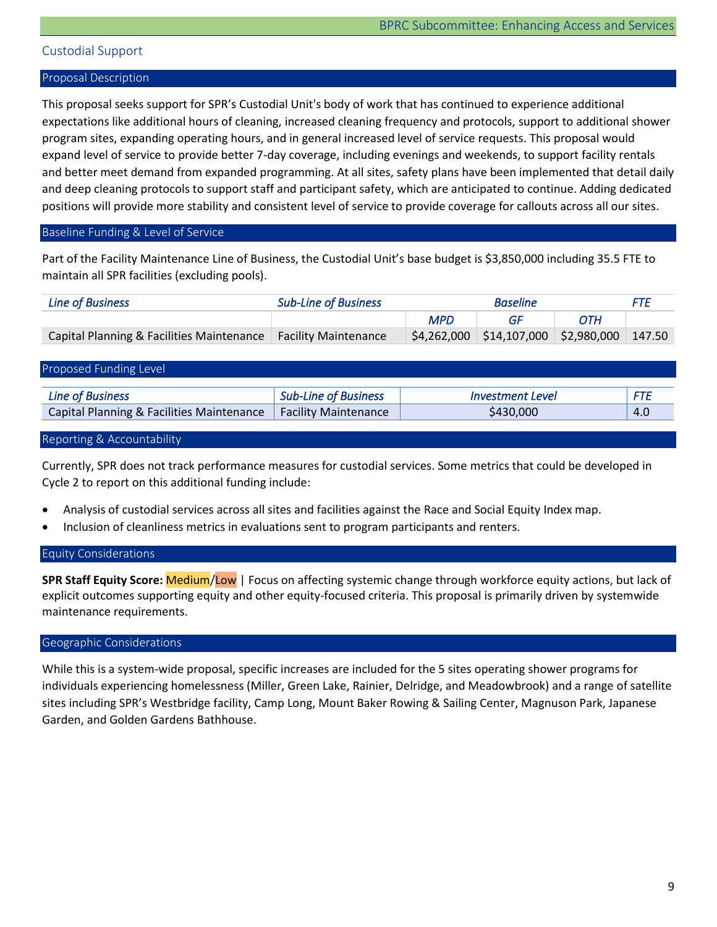## <span id="page-9-0"></span>Custodial Support

#### Proposal Description

This proposal seeks support for SPR's Custodial Unit's body of work that has continued to experience additional expectations like additional hours of cleaning, increased cleaning frequency and protocols, support to additional shower program sites, expanding operating hours, and in general increased level of service requests. This proposal would expand level of service to provide better 7-day coverage, including evenings and weekends, to support facility rentals and better meet demand from expanded programming. At all sites, safety plans have been implemented that detail daily and deep cleaning protocols to support staff and participant safety, which are anticipated to continue. Adding dedicated positions will provide more stability and consistent level of service to provide coverage for callouts across all our sites.

### Baseline Funding & Level of Service

Part of the Facility Maintenance Line of Business, the Custodial Unit's base budget is \$3,850,000 including 35.5 FTE to maintain all SPR facilities (excluding pools).

| <b>Line of Business</b>                                          | <b>Sub-Line of Business</b> | <b>Baseline</b> |                                                | FTF        |  |
|------------------------------------------------------------------|-----------------------------|-----------------|------------------------------------------------|------------|--|
|                                                                  |                             | <b>MPD</b>      | GE                                             | <b>OTH</b> |  |
| Capital Planning & Facilities Maintenance   Facility Maintenance |                             |                 | $$4,262,000$ $$14,107,000$ $$2,980,000$ 147.50 |            |  |

#### Proposed Funding Level

| <b>Line of Business</b>                                          | <b>Sub-Line of Business</b> | <i><b>Investment Level</b></i> |     |
|------------------------------------------------------------------|-----------------------------|--------------------------------|-----|
|                                                                  |                             |                                |     |
| Capital Planning & Facilities Maintenance   Facility Maintenance |                             | 3430.000                       | 4.0 |

#### Reporting & Accountability

Currently, SPR does not track performance measures for custodial services. Some metrics that could be developed in Cycle 2 to report on this additional funding include:

- Analysis of custodial services across all sites and facilities against the Race and Social Equity Index map.
- Inclusion of cleanliness metrics in evaluations sent to program participants and renters.

## Equity Considerations

**SPR Staff Equity Score:** Medium/Low | Focus on affecting systemic change through workforce equity actions, but lack of explicit outcomes supporting equity and other equity-focused criteria. This proposal is primarily driven by systemwide maintenance requirements.

#### Geographic Considerations

While this is a system-wide proposal, specific increases are included for the 5 sites operating shower programs for individuals experiencing homelessness (Miller, Green Lake, Rainier, Delridge, and Meadowbrook) and a range of satellite sites including SPR's Westbridge facility, Camp Long, Mount Baker Rowing & Sailing Center, Magnuson Park, Japanese Garden, and Golden Gardens Bathhouse.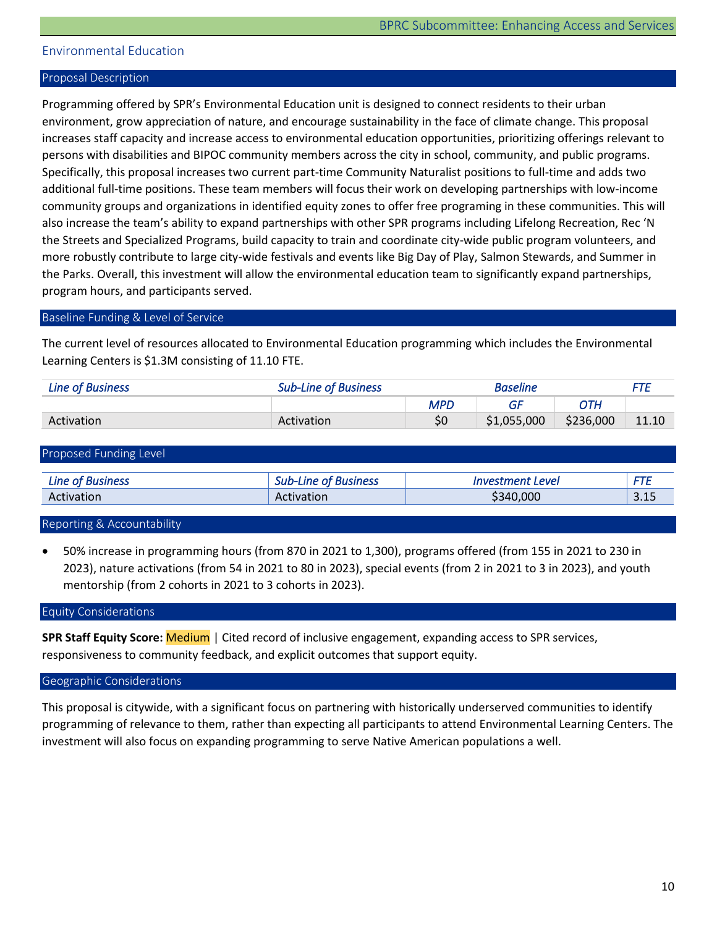## <span id="page-10-0"></span>Environmental Education

#### Proposal Description

Programming offered by SPR's Environmental Education unit is designed to connect residents to their urban environment, grow appreciation of nature, and encourage sustainability in the face of climate change. This proposal increases staff capacity and increase access to environmental education opportunities, prioritizing offerings relevant to persons with disabilities and BIPOC community members across the city in school, community, and public programs. Specifically, this proposal increases two current part-time Community Naturalist positions to full-time and adds two additional full-time positions. These team members will focus their work on developing partnerships with low-income community groups and organizations in identified equity zones to offer free programing in these communities. This will also increase the team's ability to expand partnerships with other SPR programs including Lifelong Recreation, Rec 'N the Streets and Specialized Programs, build capacity to train and coordinate city-wide public program volunteers, and more robustly contribute to large city-wide festivals and events like Big Day of Play, Salmon Stewards, and Summer in the Parks. Overall, this investment will allow the environmental education team to significantly expand partnerships, program hours, and participants served.

#### Baseline Funding & Level of Service

The current level of resources allocated to Environmental Education programming which includes the Environmental Learning Centers is \$1.3M consisting of 11.10 FTE.

| Line of Business | <b>Sub-Line of Business</b> | <b>Baseline</b> |             |           |       |
|------------------|-----------------------------|-----------------|-------------|-----------|-------|
|                  |                             | <b>MPD</b>      | GF          | ОТН       |       |
| Activation       | Activation                  | \$0             | \$1,055,000 | \$236,000 | 11.10 |

| Proposed Funding Level  |                             |                         |      |
|-------------------------|-----------------------------|-------------------------|------|
| <b>Line of Business</b> | <b>Sub-Line of Business</b> | <i>Investment Level</i> | FTE  |
| Activation              | Activation                  | \$340,000               | 3.15 |

#### Reporting & Accountability

• 50% increase in programming hours (from 870 in 2021 to 1,300), programs offered (from 155 in 2021 to 230 in 2023), nature activations (from 54 in 2021 to 80 in 2023), special events (from 2 in 2021 to 3 in 2023), and youth mentorship (from 2 cohorts in 2021 to 3 cohorts in 2023).

## Equity Considerations

**SPR Staff Equity Score:** Medium | Cited record of inclusive engagement, expanding access to SPR services, responsiveness to community feedback, and explicit outcomes that support equity.

#### Geographic Considerations

This proposal is citywide, with a significant focus on partnering with historically underserved communities to identify programming of relevance to them, rather than expecting all participants to attend Environmental Learning Centers. The investment will also focus on expanding programming to serve Native American populations a well.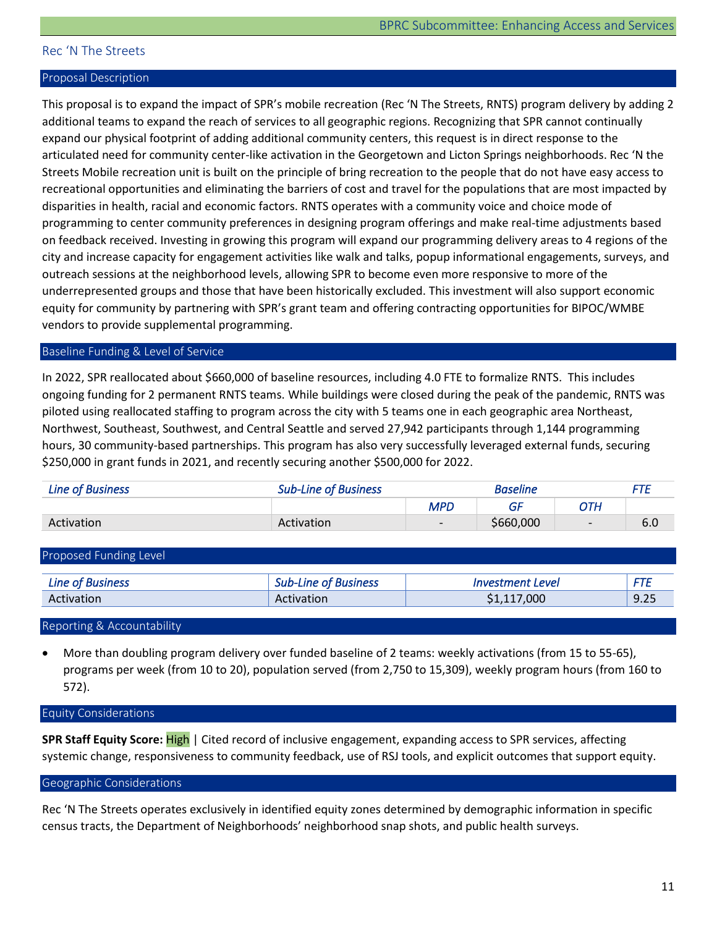## <span id="page-11-0"></span>Rec 'N The Streets

#### Proposal Description

This proposal is to expand the impact of SPR's mobile recreation (Rec 'N The Streets, RNTS) program delivery by adding 2 additional teams to expand the reach of services to all geographic regions. Recognizing that SPR cannot continually expand our physical footprint of adding additional community centers, this request is in direct response to the articulated need for community center-like activation in the Georgetown and Licton Springs neighborhoods. Rec 'N the Streets Mobile recreation unit is built on the principle of bring recreation to the people that do not have easy access to recreational opportunities and eliminating the barriers of cost and travel for the populations that are most impacted by disparities in health, racial and economic factors. RNTS operates with a community voice and choice mode of programming to center community preferences in designing program offerings and make real-time adjustments based on feedback received. Investing in growing this program will expand our programming delivery areas to 4 regions of the city and increase capacity for engagement activities like walk and talks, popup informational engagements, surveys, and outreach sessions at the neighborhood levels, allowing SPR to become even more responsive to more of the underrepresented groups and those that have been historically excluded. This investment will also support economic equity for community by partnering with SPR's grant team and offering contracting opportunities for BIPOC/WMBE vendors to provide supplemental programming.

#### Baseline Funding & Level of Service

In 2022, SPR reallocated about \$660,000 of baseline resources, including 4.0 FTE to formalize RNTS. This includes ongoing funding for 2 permanent RNTS teams. While buildings were closed during the peak of the pandemic, RNTS was piloted using reallocated staffing to program across the city with 5 teams one in each geographic area Northeast, Northwest, Southeast, Southwest, and Central Seattle and served 27,942 participants through 1,144 programming hours, 30 community-based partnerships. This program has also very successfully leveraged external funds, securing \$250,000 in grant funds in 2021, and recently securing another \$500,000 for 2022.

| Line of Business | <b>Sub-Line of Business</b> | Baseline                 |           |                          |     |
|------------------|-----------------------------|--------------------------|-----------|--------------------------|-----|
|                  |                             | <b>MPC</b>               | GF        | ОТН                      |     |
| Activation       | Activation                  | $\overline{\phantom{0}}$ | \$660,000 | $\overline{\phantom{0}}$ | 6.0 |
|                  |                             |                          |           |                          |     |

| Proposed Funding Level  |                             |                  |      |
|-------------------------|-----------------------------|------------------|------|
| <b>Line of Business</b> | <b>Sub-Line of Business</b> | Investment Level |      |
| Activation              | Activation                  | \$1,117,000      | 9.25 |
|                         |                             |                  |      |

Reporting & Accountability

• More than doubling program delivery over funded baseline of 2 teams: weekly activations (from 15 to 55-65), programs per week (from 10 to 20), population served (from 2,750 to 15,309), weekly program hours (from 160 to 572).

#### Equity Considerations

**SPR Staff Equity Score:** High | Cited record of inclusive engagement, expanding access to SPR services, affecting systemic change, responsiveness to community feedback, use of RSJ tools, and explicit outcomes that support equity.

#### Geographic Considerations

Rec 'N The Streets operates exclusively in identified equity zones determined by demographic information in specific census tracts, the Department of Neighborhoods' neighborhood snap shots, and public health surveys.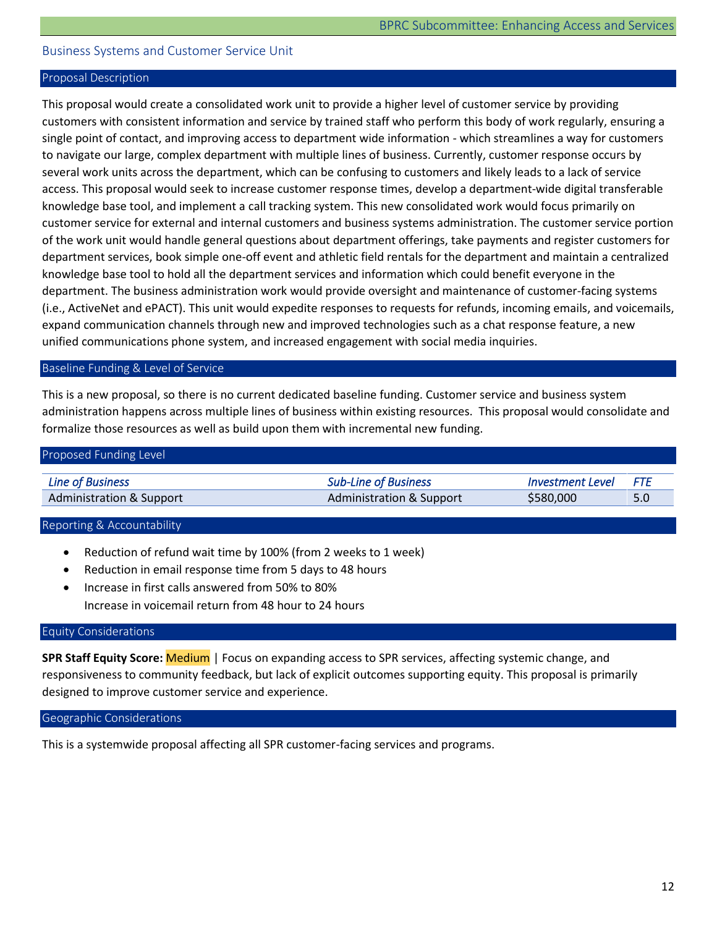## <span id="page-12-0"></span>Business Systems and Customer Service Unit

#### Proposal Description

This proposal would create a consolidated work unit to provide a higher level of customer service by providing customers with consistent information and service by trained staff who perform this body of work regularly, ensuring a single point of contact, and improving access to department wide information - which streamlines a way for customers to navigate our large, complex department with multiple lines of business. Currently, customer response occurs by several work units across the department, which can be confusing to customers and likely leads to a lack of service access. This proposal would seek to increase customer response times, develop a department-wide digital transferable knowledge base tool, and implement a call tracking system. This new consolidated work would focus primarily on customer service for external and internal customers and business systems administration. The customer service portion of the work unit would handle general questions about department offerings, take payments and register customers for department services, book simple one-off event and athletic field rentals for the department and maintain a centralized knowledge base tool to hold all the department services and information which could benefit everyone in the department. The business administration work would provide oversight and maintenance of customer-facing systems (i.e., ActiveNet and ePACT). This unit would expedite responses to requests for refunds, incoming emails, and voicemails, expand communication channels through new and improved technologies such as a chat response feature, a new unified communications phone system, and increased engagement with social media inquiries.

#### Baseline Funding & Level of Service

This is a new proposal, so there is no current dedicated baseline funding. Customer service and business system administration happens across multiple lines of business within existing resources. This proposal would consolidate and formalize those resources as well as build upon them with incremental new funding.

| Proposed Funding Level              |                                     |                         |     |
|-------------------------------------|-------------------------------------|-------------------------|-----|
| <b>Line of Business</b>             | <b>Sub-Line of Business</b>         | <b>Investment Level</b> | FTF |
| <b>Administration &amp; Support</b> | <b>Administration &amp; Support</b> | \$580,000               | 5.0 |

#### Reporting & Accountability

- Reduction of refund wait time by 100% (from 2 weeks to 1 week)
- Reduction in email response time from 5 days to 48 hours
- Increase in first calls answered from 50% to 80% • Increase in voicemail return from 48 hour to 24 hours

#### Equity Considerations

**SPR Staff Equity Score:** Medium | Focus on expanding access to SPR services, affecting systemic change, and responsiveness to community feedback, but lack of explicit outcomes supporting equity. This proposal is primarily designed to improve customer service and experience.

Geographic Considerations

This is a systemwide proposal affecting all SPR customer-facing services and programs.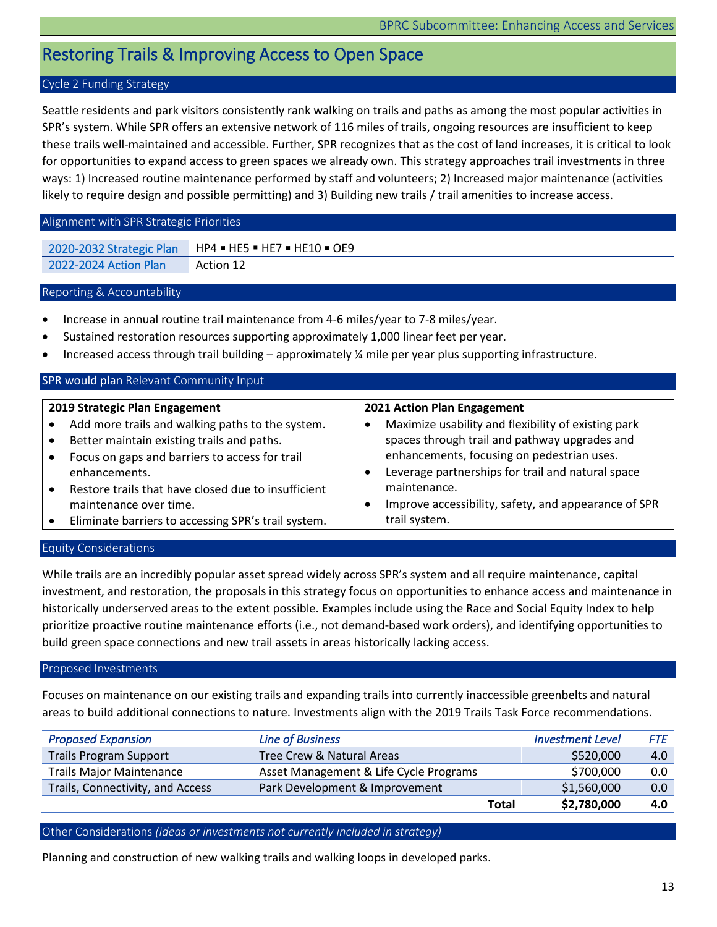## <span id="page-13-0"></span>Restoring Trails & Improving Access to Open Space

## Cycle 2 Funding Strategy

Seattle residents and park visitors consistently rank walking on trails and paths as among the most popular activities in SPR's system. While SPR offers an extensive network of 116 miles of trails, ongoing resources are insufficient to keep these trails well-maintained and accessible. Further, SPR recognizes that as the cost of land increases, it is critical to look for opportunities to expand access to green spaces we already own. This strategy approaches trail investments in three ways: 1) Increased routine maintenance performed by staff and volunteers; 2) Increased major maintenance (activities likely to require design and possible permitting) and 3) Building new trails / trail amenities to increase access.

## Alignment with SPR Strategic Priorities

| 2020-2032 Strategic Plan | $HP4 = HE5 = HE7 = HE10 = OE9$ |
|--------------------------|--------------------------------|
| 2022-2024 Action Plan    | <b>Action 12</b>               |

## Reporting & Accountability

- Increase in annual routine trail maintenance from 4-6 miles/year to 7-8 miles/year.
- Sustained restoration resources supporting approximately 1,000 linear feet per year.
- Increased access through trail building approximately ¼ mile per year plus supporting infrastructure.

#### SPR would plan Relevant Community Input **2019 Strategic Plan Engagement** Add more trails and walking paths to the system. • Better maintain existing trails and paths. • Focus on gaps and barriers to access for trail enhancements. • Restore trails that have closed due to insufficient maintenance over time. • Eliminate barriers to accessing SPR's trail system. **2021 Action Plan Engagement** • Maximize usability and flexibility of existing park spaces through trail and pathway upgrades and enhancements, focusing on pedestrian uses. • Leverage partnerships for trail and natural space maintenance. • Improve accessibility, safety, and appearance of SPR trail system.

## Equity Considerations

While trails are an incredibly popular asset spread widely across SPR's system and all require maintenance, capital investment, and restoration, the proposals in this strategy focus on opportunities to enhance access and maintenance in historically underserved areas to the extent possible. Examples include using the Race and Social Equity Index to help prioritize proactive routine maintenance efforts (i.e., not demand-based work orders), and identifying opportunities to build green space connections and new trail assets in areas historically lacking access.

## Proposed Investments

Focuses on maintenance on our existing trails and expanding trails into currently inaccessible greenbelts and natural areas to build additional connections to nature. Investments align with the 2019 Trails Task Force recommendations.

| <b>Proposed Expansion</b>        | <b>Line of Business</b>                | <b>Investment Level</b> | <b>FTE</b> |
|----------------------------------|----------------------------------------|-------------------------|------------|
| <b>Trails Program Support</b>    | Tree Crew & Natural Areas              | \$520,000               | 4.0        |
| <b>Trails Major Maintenance</b>  | Asset Management & Life Cycle Programs | \$700,000               | 0.0        |
| Trails, Connectivity, and Access | Park Development & Improvement         | \$1,560,000             | 0.0        |
|                                  | Total                                  | \$2,780,000             | 4.0        |

## Other Considerations *(ideas or investments not currently included in strategy)*

Planning and construction of new walking trails and walking loops in developed parks.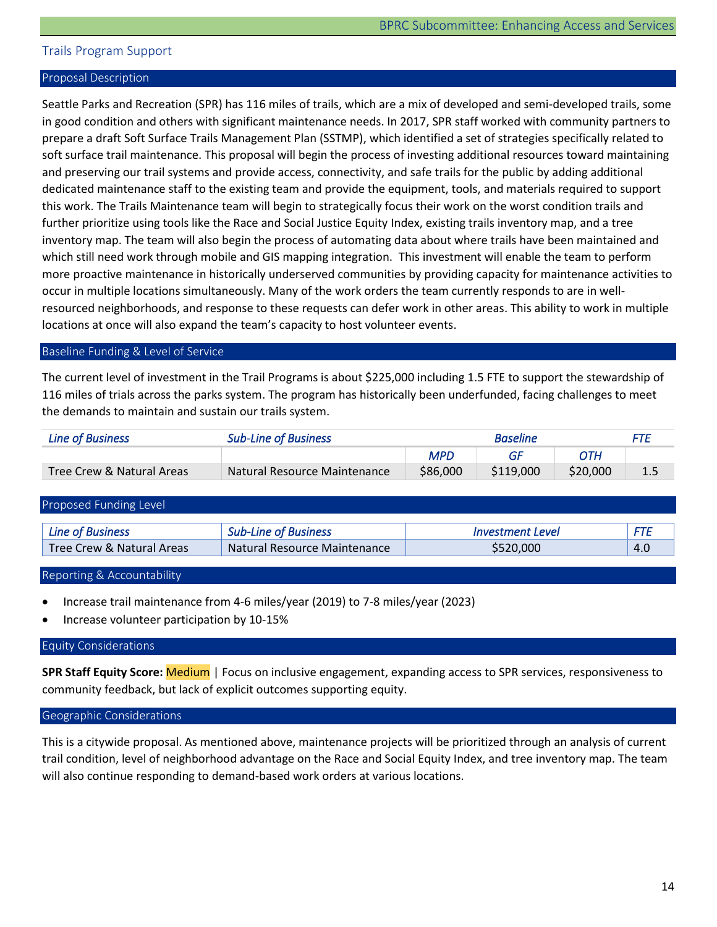## <span id="page-14-0"></span>Trails Program Support

#### Proposal Description

Seattle Parks and Recreation (SPR) has 116 miles of trails, which are a mix of developed and semi-developed trails, some in good condition and others with significant maintenance needs. In 2017, SPR staff worked with community partners to prepare a draft Soft Surface Trails Management Plan (SSTMP), which identified a set of strategies specifically related to soft surface trail maintenance. This proposal will begin the process of investing additional resources toward maintaining and preserving our trail systems and provide access, connectivity, and safe trails for the public by adding additional dedicated maintenance staff to the existing team and provide the equipment, tools, and materials required to support this work. The Trails Maintenance team will begin to strategically focus their work on the worst condition trails and further prioritize using tools like the Race and Social Justice Equity Index, existing trails inventory map, and a tree inventory map. The team will also begin the process of automating data about where trails have been maintained and which still need work through mobile and GIS mapping integration. This investment will enable the team to perform more proactive maintenance in historically underserved communities by providing capacity for maintenance activities to occur in multiple locations simultaneously. Many of the work orders the team currently responds to are in wellresourced neighborhoods, and response to these requests can defer work in other areas. This ability to work in multiple locations at once will also expand the team's capacity to host volunteer events.

#### Baseline Funding & Level of Service

The current level of investment in the Trail Programs is about \$225,000 including 1.5 FTE to support the stewardship of 116 miles of trials across the parks system. The program has historically been underfunded, facing challenges to meet the demands to maintain and sustain our trails system.

| <b>Line of Business</b>              | <b>Sub-Line of Business</b><br><b>Baseline</b> |            |           |          |     |
|--------------------------------------|------------------------------------------------|------------|-----------|----------|-----|
|                                      |                                                | <b>MPD</b> |           | ОТН      |     |
| <b>Tree Crew &amp; Natural Areas</b> | Natural Resource Maintenance                   | \$86,000   | \$119,000 | \$20,000 | 1.5 |

| Proposed Funding Level    |                              |                         |     |
|---------------------------|------------------------------|-------------------------|-----|
| <b>Line of Business</b>   | <b>Sub-Line of Business</b>  | <i>Investment Level</i> | FTF |
| Tree Crew & Natural Areas | Natural Resource Maintenance | \$520,000               | 4.0 |

Reporting & Accountability

- Increase trail maintenance from 4-6 miles/year (2019) to 7-8 miles/year (2023)
- Increase volunteer participation by 10-15%

#### Equity Considerations

**SPR Staff Equity Score:** Medium | Focus on inclusive engagement, expanding access to SPR services, responsiveness to community feedback, but lack of explicit outcomes supporting equity.

#### Geographic Considerations

This is a citywide proposal. As mentioned above, maintenance projects will be prioritized through an analysis of current trail condition, level of neighborhood advantage on the Race and Social Equity Index, and tree inventory map. The team will also continue responding to demand-based work orders at various locations.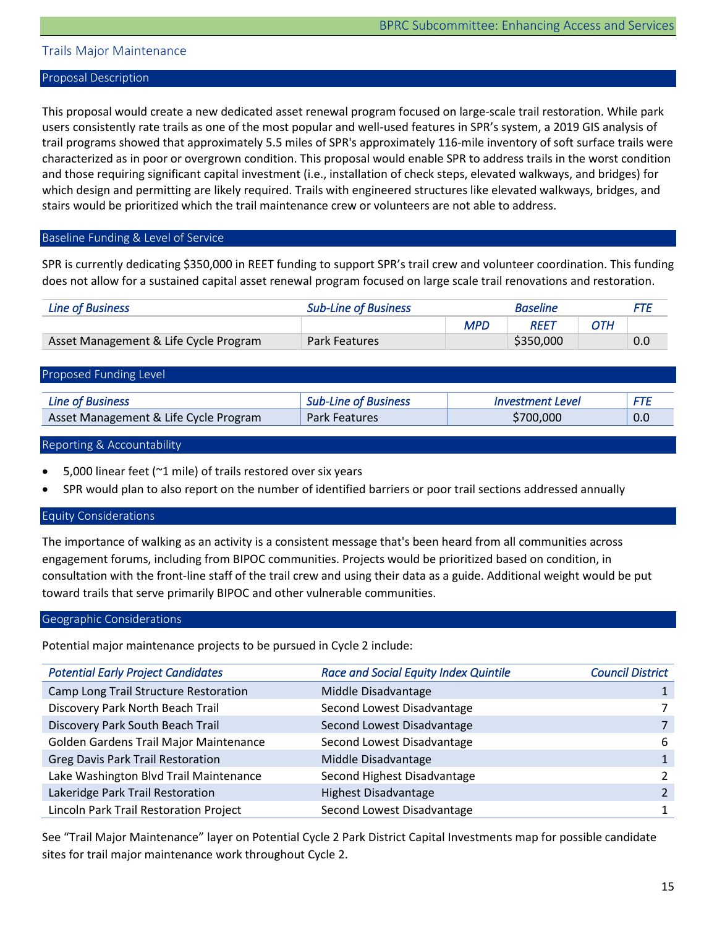## <span id="page-15-0"></span>Trails Major Maintenance

#### Proposal Description

This proposal would create a new dedicated asset renewal program focused on large-scale trail restoration. While park users consistently rate trails as one of the most popular and well-used features in SPR's system, a 2019 GIS analysis of trail programs showed that approximately 5.5 miles of SPR's approximately 116-mile inventory of soft surface trails were characterized as in poor or overgrown condition. This proposal would enable SPR to address trails in the worst condition and those requiring significant capital investment (i.e., installation of check steps, elevated walkways, and bridges) for which design and permitting are likely required. Trails with engineered structures like elevated walkways, bridges, and stairs would be prioritized which the trail maintenance crew or volunteers are not able to address.

#### Baseline Funding & Level of Service

SPR is currently dedicating \$350,000 in REET funding to support SPR's trail crew and volunteer coordination. This funding does not allow for a sustained capital asset renewal program focused on large scale trail renovations and restoration.

| Line of Business                      | <b>Sub-Line of Business</b><br><b>Baseline</b> |     |             | FTF |     |
|---------------------------------------|------------------------------------------------|-----|-------------|-----|-----|
|                                       |                                                | MPD | <b>REET</b> | OTH |     |
| Asset Management & Life Cycle Program | <b>Park Features</b>                           |     | \$350,000   |     | 0.0 |

#### Proposed Funding Level

| Line of Business                      | <b>Sub-Line of Business</b> | <i><b>Investment Level</b></i> | <b>CTC</b> |
|---------------------------------------|-----------------------------|--------------------------------|------------|
| Asset Management & Life Cycle Program | <b>Park Features</b>        | \$700,000                      | 0.0        |

#### Reporting & Accountability

- 5,000 linear feet (~1 mile) of trails restored over six years
- SPR would plan to also report on the number of identified barriers or poor trail sections addressed annually

#### Equity Considerations

The importance of walking as an activity is a consistent message that's been heard from all communities across engagement forums, including from BIPOC communities. Projects would be prioritized based on condition, in consultation with the front-line staff of the trail crew and using their data as a guide. Additional weight would be put toward trails that serve primarily BIPOC and other vulnerable communities.

#### Geographic Considerations

Potential major maintenance projects to be pursued in Cycle 2 include:

| <b>Potential Early Project Candidates</b> | <b>Race and Social Equity Index Quintile</b> | <b>Council District</b> |
|-------------------------------------------|----------------------------------------------|-------------------------|
| Camp Long Trail Structure Restoration     | Middle Disadvantage                          |                         |
| Discovery Park North Beach Trail          | Second Lowest Disadvantage                   |                         |
| Discovery Park South Beach Trail          | Second Lowest Disadvantage                   |                         |
| Golden Gardens Trail Major Maintenance    | Second Lowest Disadvantage                   | 6                       |
| <b>Greg Davis Park Trail Restoration</b>  | Middle Disadvantage                          |                         |
| Lake Washington Blvd Trail Maintenance    | Second Highest Disadvantage                  |                         |
| Lakeridge Park Trail Restoration          | <b>Highest Disadvantage</b>                  |                         |
| Lincoln Park Trail Restoration Project    | Second Lowest Disadvantage                   |                         |

See "Trail Major Maintenance" layer on Potential Cycle 2 Park District Capital Investments map for possible candidate sites for trail major maintenance work throughout Cycle 2.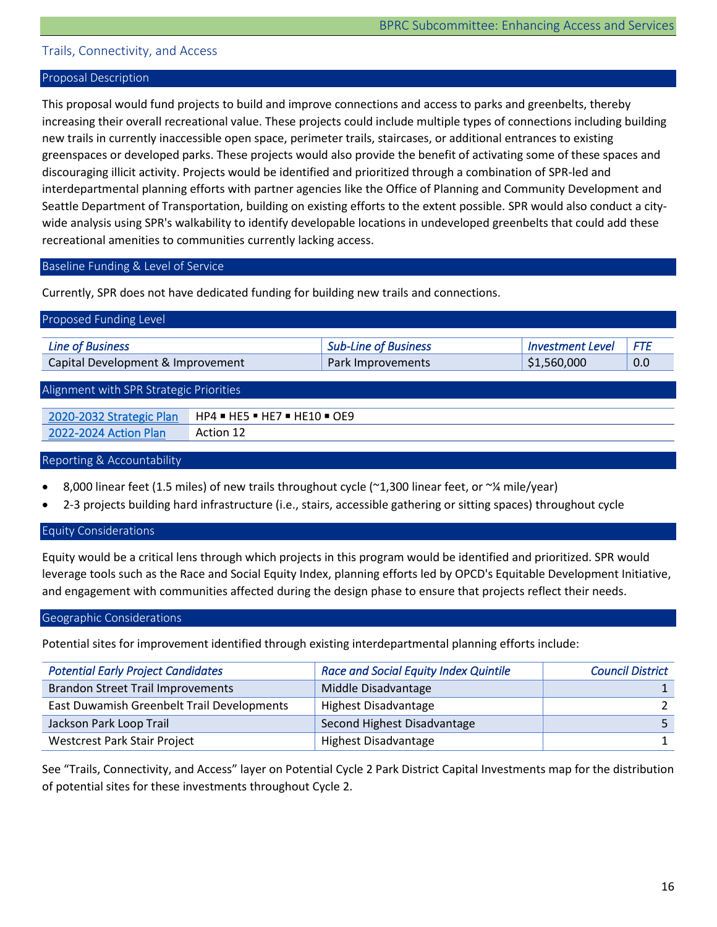## <span id="page-16-0"></span>Trails, Connectivity, and Access

#### Proposal Description

This proposal would fund projects to build and improve connections and access to parks and greenbelts, thereby increasing their overall recreational value. These projects could include multiple types of connections including building new trails in currently inaccessible open space, perimeter trails, staircases, or additional entrances to existing greenspaces or developed parks. These projects would also provide the benefit of activating some of these spaces and discouraging illicit activity. Projects would be identified and prioritized through a combination of SPR-led and interdepartmental planning efforts with partner agencies like the Office of Planning and Community Development and Seattle Department of Transportation, building on existing efforts to the extent possible. SPR would also conduct a citywide analysis using SPR's walkability to identify developable locations in undeveloped greenbelts that could add these recreational amenities to communities currently lacking access.

#### Baseline Funding & Level of Service

Currently, SPR does not have dedicated funding for building new trails and connections.

| Proposed Funding Level                                                                                         |                              |                             |                         |            |  |
|----------------------------------------------------------------------------------------------------------------|------------------------------|-----------------------------|-------------------------|------------|--|
| <b>Line of Business</b>                                                                                        |                              | <b>Sub-Line of Business</b> | <b>Investment Level</b> | <b>FTE</b> |  |
| Capital Development & Improvement                                                                              |                              | Park Improvements           | \$1,560,000             | 0.0        |  |
| Alignment with SPR Strategic Priorities                                                                        |                              |                             |                         |            |  |
| 2020-2032 Strategic Plan                                                                                       | HP4 = HE5 = HE7 = HE10 = OE9 |                             |                         |            |  |
| 2022-2024 Action Plan                                                                                          | Action 12                    |                             |                         |            |  |
| $D = \{x_1, x_2, \ldots, x_n\}$ $D = D \cup D$ $A = \{x_1, x_2, \ldots, x_n\}$ $A = \{x_1, x_2, \ldots, x_n\}$ |                              |                             |                         |            |  |

#### Reporting & Accountability

- 8,000 linear feet (1.5 miles) of new trails throughout cycle (~1,300 linear feet, or ~¼ mile/year)
- 2-3 projects building hard infrastructure (i.e., stairs, accessible gathering or sitting spaces) throughout cycle

### Equity Considerations

Equity would be a critical lens through which projects in this program would be identified and prioritized. SPR would leverage tools such as the Race and Social Equity Index, planning efforts led by OPCD's Equitable Development Initiative, and engagement with communities affected during the design phase to ensure that projects reflect their needs.

#### Geographic Considerations

Potential sites for improvement identified through existing interdepartmental planning efforts include:

| <b>Potential Early Project Candidates</b>  | <b>Race and Social Equity Index Quintile</b> | <b>Council District</b> |
|--------------------------------------------|----------------------------------------------|-------------------------|
| <b>Brandon Street Trail Improvements</b>   | Middle Disadvantage                          |                         |
| East Duwamish Greenbelt Trail Developments | Highest Disadvantage                         |                         |
| Jackson Park Loop Trail                    | Second Highest Disadvantage                  |                         |
| <b>Westcrest Park Stair Project</b>        | <b>Highest Disadvantage</b>                  |                         |

See "Trails, Connectivity, and Access" layer on Potential Cycle 2 Park District Capital Investments map for the distribution of potential sites for these investments throughout Cycle 2.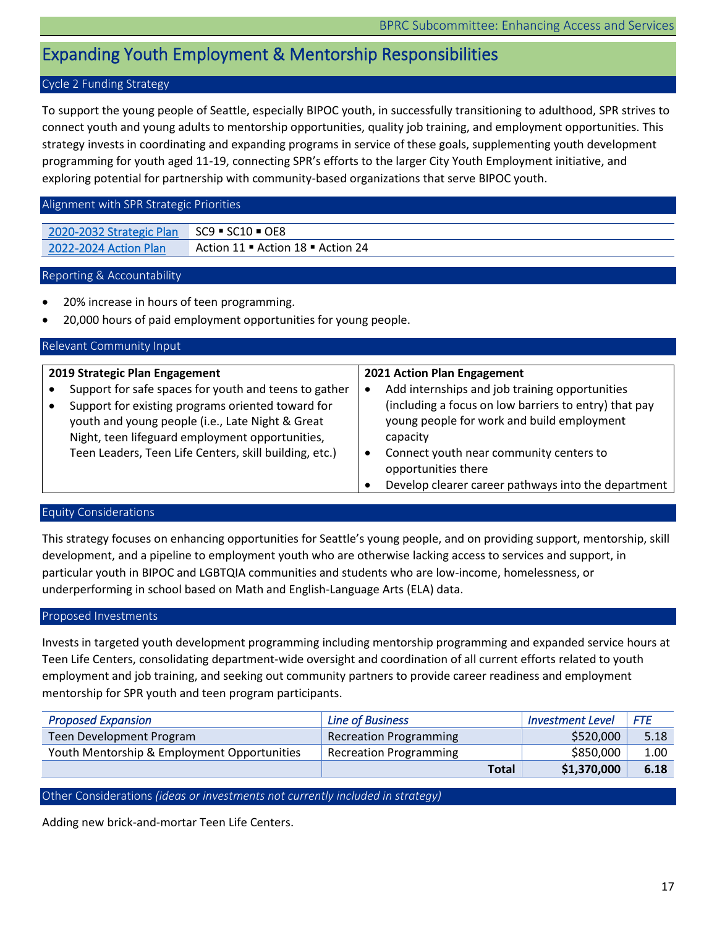## <span id="page-17-0"></span>Expanding Youth Employment & Mentorship Responsibilities

## Cycle 2 Funding Strategy

To support the young people of Seattle, especially BIPOC youth, in successfully transitioning to adulthood, SPR strives to connect youth and young adults to mentorship opportunities, quality job training, and employment opportunities. This strategy invests in coordinating and expanding programs in service of these goals, supplementing youth development programming for youth aged 11-19, connecting SPR's efforts to the larger City Youth Employment initiative, and exploring potential for partnership with community-based organizations that serve BIPOC youth.

## Alignment with SPR Strategic Priorities

| 2020-2032 Strategic Plan SC9 = SC10 = OE8 |                                   |
|-------------------------------------------|-----------------------------------|
| 2022-2024 Action Plan                     | Action 11 ■ Action 18 ■ Action 24 |

## Reporting & Accountability

- 20% increase in hours of teen programming.
- 20,000 hours of paid employment opportunities for young people.

| Relevant Community Input                                                                                   |           |                                                                                                         |
|------------------------------------------------------------------------------------------------------------|-----------|---------------------------------------------------------------------------------------------------------|
| 2019 Strategic Plan Engagement                                                                             |           | 2021 Action Plan Engagement                                                                             |
| Support for safe spaces for youth and teens to gather<br>Support for existing programs oriented toward for | ٠         | Add internships and job training opportunities<br>(including a focus on low barriers to entry) that pay |
| youth and young people (i.e., Late Night & Great<br>Night, teen lifeguard employment opportunities,        |           | young people for work and build employment<br>capacity                                                  |
| Teen Leaders, Teen Life Centers, skill building, etc.)                                                     | $\bullet$ | Connect youth near community centers to<br>opportunities there                                          |
|                                                                                                            |           | Develop clearer career pathways into the department                                                     |

## Equity Considerations

This strategy focuses on enhancing opportunities for Seattle's young people, and on providing support, mentorship, skill development, and a pipeline to employment youth who are otherwise lacking access to services and support, in particular youth in BIPOC and LGBTQIA communities and students who are low-income, homelessness, or underperforming in school based on Math and English-Language Arts (ELA) data.

#### Proposed Investments

Invests in targeted youth development programming including mentorship programming and expanded service hours at Teen Life Centers, consolidating department-wide oversight and coordination of all current efforts related to youth employment and job training, and seeking out community partners to provide career readiness and employment mentorship for SPR youth and teen program participants.

| <b>Proposed Expansion</b>                   | <b>Line of Business</b>       | <b>Investment Level</b> | FTF  |
|---------------------------------------------|-------------------------------|-------------------------|------|
| Teen Development Program                    | <b>Recreation Programming</b> | \$520,000               | 5.18 |
| Youth Mentorship & Employment Opportunities | <b>Recreation Programming</b> | \$850,000               | 1.00 |
|                                             | <b>Total</b>                  | \$1,370,000             | 6.18 |

## Other Considerations *(ideas or investments not currently included in strategy)*

Adding new brick-and-mortar Teen Life Centers.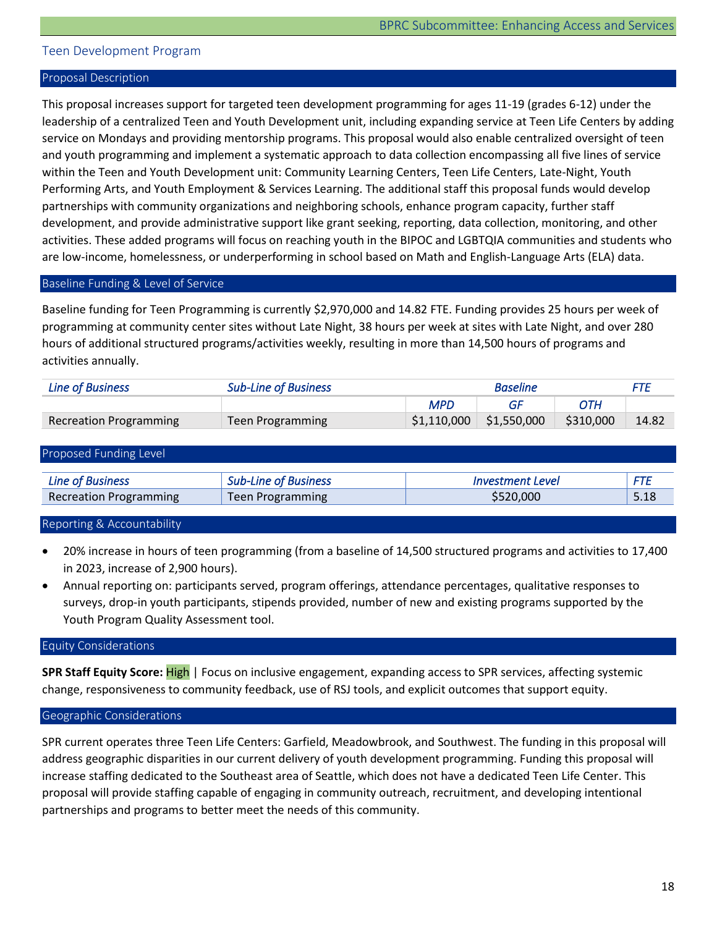## <span id="page-18-0"></span>Teen Development Program

#### Proposal Description

This proposal increases support for targeted teen development programming for ages 11-19 (grades 6-12) under the leadership of a centralized Teen and Youth Development unit, including expanding service at Teen Life Centers by adding service on Mondays and providing mentorship programs. This proposal would also enable centralized oversight of teen and youth programming and implement a systematic approach to data collection encompassing all five lines of service within the Teen and Youth Development unit: Community Learning Centers, Teen Life Centers, Late-Night, Youth Performing Arts, and Youth Employment & Services Learning. The additional staff this proposal funds would develop partnerships with community organizations and neighboring schools, enhance program capacity, further staff development, and provide administrative support like grant seeking, reporting, data collection, monitoring, and other activities. These added programs will focus on reaching youth in the BIPOC and LGBTQIA communities and students who are low-income, homelessness, or underperforming in school based on Math and English-Language Arts (ELA) data.

## Baseline Funding & Level of Service

Baseline funding for Teen Programming is currently \$2,970,000 and 14.82 FTE. Funding provides 25 hours per week of programming at community center sites without Late Night, 38 hours per week at sites with Late Night, and over 280 hours of additional structured programs/activities weekly, resulting in more than 14,500 hours of programs and activities annually.

| <b>Line of Business</b> | <b>Sub-Line of Business</b> | <b>Baseline</b> |                           |           |       |
|-------------------------|-----------------------------|-----------------|---------------------------|-----------|-------|
|                         |                             | <b>MPD</b>      |                           | ОТН       |       |
| Recreation Programming  | Teen Programming            | \$1,110,000     | $\frac{1}{2}$ \$1,550,000 | \$310,000 | 14.82 |

| Proposed Funding Level        |                             |                         |      |  |  |  |
|-------------------------------|-----------------------------|-------------------------|------|--|--|--|
| <b>Line of Business</b>       | <b>Sub-Line of Business</b> | <i>Investment Level</i> | FTE  |  |  |  |
| <b>Recreation Programming</b> | <b>Teen Programming</b>     | \$520,000               | 5.18 |  |  |  |

#### Reporting & Accountability

• 20% increase in hours of teen programming (from a baseline of 14,500 structured programs and activities to 17,400 in 2023, increase of 2,900 hours).

• Annual reporting on: participants served, program offerings, attendance percentages, qualitative responses to surveys, drop-in youth participants, stipends provided, number of new and existing programs supported by the Youth Program Quality Assessment tool.

#### Equity Considerations

**SPR Staff Equity Score:** High | Focus on inclusive engagement, expanding access to SPR services, affecting systemic change, responsiveness to community feedback, use of RSJ tools, and explicit outcomes that support equity.

#### Geographic Considerations

SPR current operates three Teen Life Centers: Garfield, Meadowbrook, and Southwest. The funding in this proposal will address geographic disparities in our current delivery of youth development programming. Funding this proposal will increase staffing dedicated to the Southeast area of Seattle, which does not have a dedicated Teen Life Center. This proposal will provide staffing capable of engaging in community outreach, recruitment, and developing intentional partnerships and programs to better meet the needs of this community.